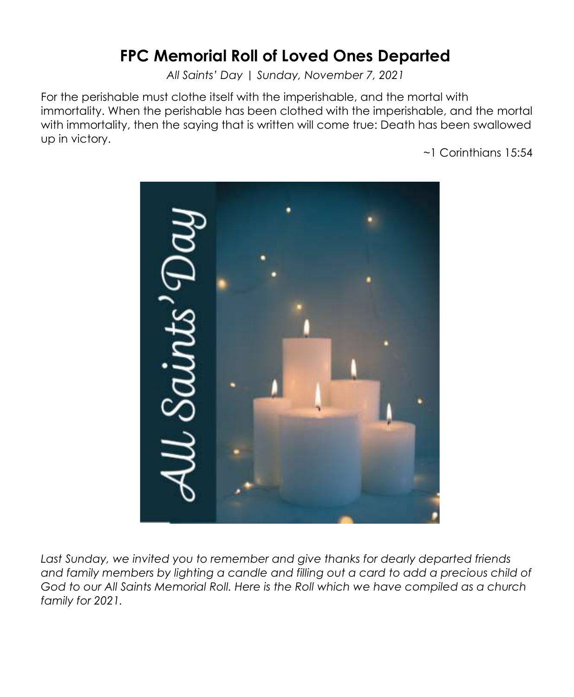# **FPC Memorial Roll of Loved Ones Departed**

*All Saints' Day | Sunday, November 7, 2021*

For the perishable must clothe itself with the imperishable, and the mortal with immortality. When the perishable has been clothed with the imperishable, and the mortal with immortality, then the saying that is written will come true: Death has been swallowed up in victory.

~1 Corinthians 15:54



Last Sunday, we invited you to remember and give thanks for dearly departed friends *and family members by lighting a candle and filling out a card to add a precious child of God to our All Saints Memorial Roll. Here is the Roll which we have compiled as a church family for 2021.*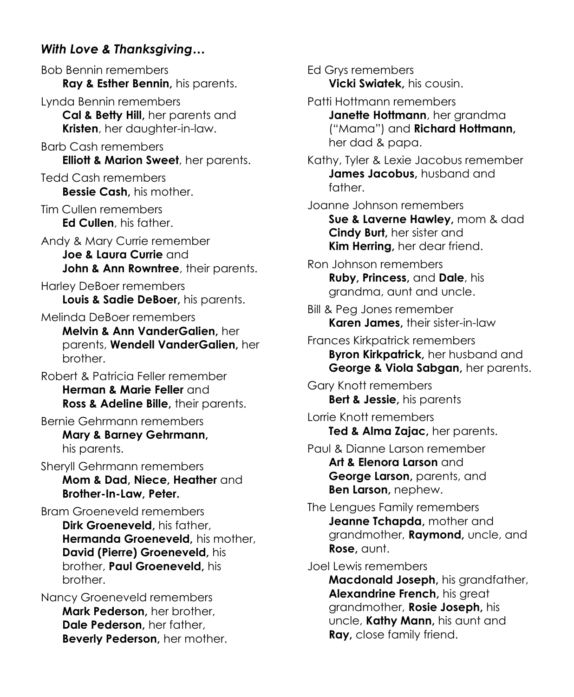## *With Love & Thanksgiving…*

Bob Bennin remembers **Ray & Esther Bennin,** his parents. Lynda Bennin remembers

**Cal & Betty Hill,** her parents and **Kristen**, her daughter-in-law.

Barb Cash remembers **Elliott & Marion Sweet**, her parents.

Tedd Cash remembers **Bessie Cash,** his mother.

Tim Cullen remembers **Ed Cullen**, his father.

Andy & Mary Currie remember **Joe & Laura Currie** and **John & Ann Rowntree**, their parents.

Harley DeBoer remembers **Louis & Sadie DeBoer,** his parents.

Melinda DeBoer remembers **Melvin & Ann VanderGalien,** her parents, **Wendell VanderGalien,** her brother.

Robert & Patricia Feller remember **Herman & Marie Feller** and **Ross & Adeline Bille,** their parents.

Bernie Gehrmann remembers **Mary & Barney Gehrmann,**  his parents.

Sheryll Gehrmann remembers **Mom & Dad, Niece, Heather** and **Brother-In-Law, Peter.**

Bram Groeneveld remembers **Dirk Groeneveld,** his father, **Hermanda Groeneveld,** his mother, **David (Pierre) Groeneveld,** his brother, **Paul Groeneveld,** his brother.

Nancy Groeneveld remembers **Mark Pederson,** her brother, **Dale Pederson,** her father, **Beverly Pederson,** her mother.

Ed Grys remembers **Vicki Swiatek,** his cousin. Patti Hottmann remembers **Janette Hottmann**, her grandma ("Mama") and **Richard Hottmann,** her dad & papa. Kathy, Tyler & Lexie Jacobus remember **James Jacobus,** husband and father. Joanne Johnson remembers **Sue & Laverne Hawley,** mom & dad **Cindy Burt,** her sister and **Kim Herring,** her dear friend. Ron Johnson remembers **Ruby, Princess,** and **Dale**, his grandma, aunt and uncle. Bill & Peg Jones remember **Karen James,** their sister-in-law Frances Kirkpatrick remembers **Byron Kirkpatrick,** her husband and **George & Viola Sabgan,** her parents. Gary Knott remembers **Bert & Jessie,** his parents Lorrie Knott remembers **Ted & Alma Zajac,** her parents. Paul & Dianne Larson remember **Art & Elenora Larson** and **George Larson,** parents, and **Ben Larson,** nephew. The Lengues Family remembers **Jeanne Tchapda,** mother and grandmother, **Raymond,** uncle, and **Rose,** aunt.

Joel Lewis remembers

**Macdonald Joseph,** his grandfather, **Alexandrine French,** his great grandmother, **Rosie Joseph,** his uncle, **Kathy Mann,** his aunt and **Ray,** close family friend.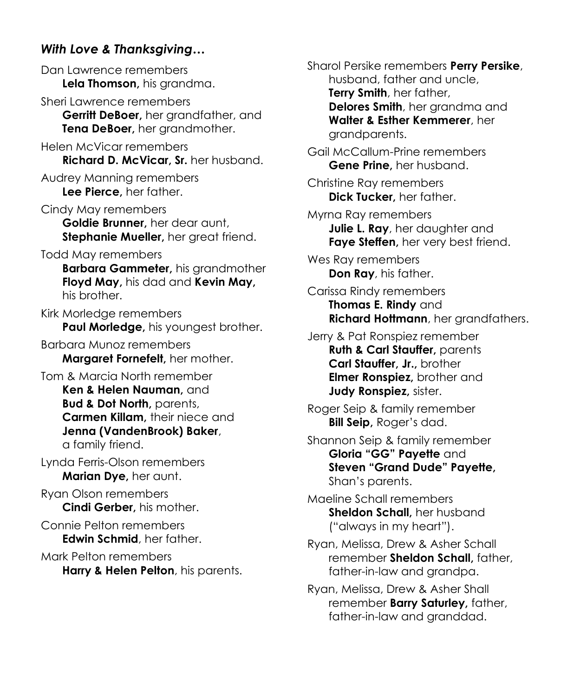## *With Love & Thanksgiving…*

Dan Lawrence remembers **Lela Thomson,** his grandma.

- Sheri Lawrence remembers **Gerritt DeBoer,** her grandfather, and **Tena DeBoer,** her grandmother.
- Helen McVicar remembers **Richard D. McVicar, Sr.** her husband.
- Audrey Manning remembers **Lee Pierce,** her father.
- Cindy May remembers **Goldie Brunner,** her dear aunt, **Stephanie Mueller,** her great friend.

#### Todd May remembers

**Barbara Gammeter,** his grandmother **Floyd May,** his dad and **Kevin May,**  his brother.

Kirk Morledge remembers **Paul Morledge,** his youngest brother.

Barbara Munoz remembers **Margaret Fornefelt,** her mother.

Tom & Marcia North remember **Ken & Helen Nauman,** and **Bud & Dot North, parents, Carmen Killam,** their niece and **Jenna (VandenBrook) Baker**, a family friend.

Lynda Ferris-Olson remembers **Marian Dye,** her aunt.

Ryan Olson remembers **Cindi Gerber,** his mother.

Connie Pelton remembers **Edwin Schmid**, her father.

Mark Pelton remembers **Harry & Helen Pelton**, his parents. Sharol Persike remembers **Perry Persike**, husband, father and uncle, **Terry Smith**, her father, **Delores Smith**, her grandma and **Walter & Esther Kemmerer**, her grandparents.

Gail McCallum-Prine remembers **Gene Prine,** her husband.

Christine Ray remembers **Dick Tucker,** her father.

Myrna Ray remembers **Julie L. Ray**, her daughter and **Faye Steffen,** her very best friend.

Wes Ray remembers **Don Ray**, his father.

Carissa Rindy remembers **Thomas E. Rindy** and **Richard Hottmann**, her grandfathers.

Jerry & Pat Ronspiez remember **Ruth & Carl Stauffer, parents Carl Stauffer, Jr.,** brother **Elmer Ronspiez,** brother and **Judy Ronspiez,** sister.

- Roger Seip & family remember **Bill Seip,** Roger's dad.
- Shannon Seip & family remember **Gloria "GG" Payette** and **Steven "Grand Dude" Payette,**  Shan's parents.

Maeline Schall remembers **Sheldon Schall,** her husband ("always in my heart").

Ryan, Melissa, Drew & Asher Schall remember **Sheldon Schall,** father, father-in-law and grandpa.

Ryan, Melissa, Drew & Asher Shall remember **Barry Saturley,** father, father-in-law and granddad.